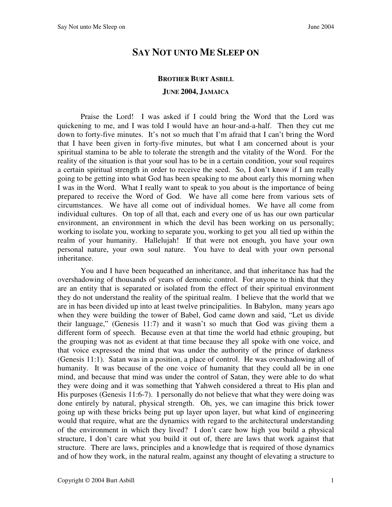## **SAY NOT UNTO ME SLEEP ON**

## **BROTHER BURT ASBILL JUNE 2004, JAMAICA**

Praise the Lord! I was asked if I could bring the Word that the Lord was quickening to me, and I was told I would have an hour-and-a-half. Then they cut me down to forty-five minutes. It's not so much that I'm afraid that I can't bring the Word that I have been given in forty-five minutes, but what I am concerned about is your spiritual stamina to be able to tolerate the strength and the vitality of the Word. For the reality of the situation is that your soul has to be in a certain condition, your soul requires a certain spiritual strength in order to receive the seed. So, I don't know if I am really going to be getting into what God has been speaking to me about early this morning when I was in the Word. What I really want to speak to you about is the importance of being prepared to receive the Word of God. We have all come here from various sets of circumstances. We have all come out of individual homes. We have all come from individual cultures. On top of all that, each and every one of us has our own particular environment, an environment in which the devil has been working on us personally; working to isolate you, working to separate you, working to get you all tied up within the realm of your humanity. Hallelujah! If that were not enough, you have your own personal nature, your own soul nature. You have to deal with your own personal inheritance.

You and I have been bequeathed an inheritance, and that inheritance has had the overshadowing of thousands of years of demonic control. For anyone to think that they are an entity that is separated or isolated from the effect of their spiritual environment they do not understand the reality of the spiritual realm. I believe that the world that we are in has been divided up into at least twelve principalities. In Babylon, many years ago when they were building the tower of Babel, God came down and said, "Let us divide their language," (Genesis 11:7) and it wasn't so much that God was giving them a different form of speech. Because even at that time the world had ethnic grouping, but the grouping was not as evident at that time because they all spoke with one voice, and that voice expressed the mind that was under the authority of the prince of darkness (Genesis 11:1). Satan was in a position, a place of control. He was overshadowing all of humanity. It was because of the one voice of humanity that they could all be in one mind, and because that mind was under the control of Satan, they were able to do what they were doing and it was something that Yahweh considered a threat to His plan and His purposes (Genesis 11:6-7). I personally do not believe that what they were doing was done entirely by natural, physical strength. Oh, yes, we can imagine this brick tower going up with these bricks being put up layer upon layer, but what kind of engineering would that require, what are the dynamics with regard to the architectural understanding of the environment in which they lived? I don't care how high you build a physical structure, I don't care what you build it out of, there are laws that work against that structure. There are laws, principles and a knowledge that is required of those dynamics and of how they work, in the natural realm, against any thought of elevating a structure to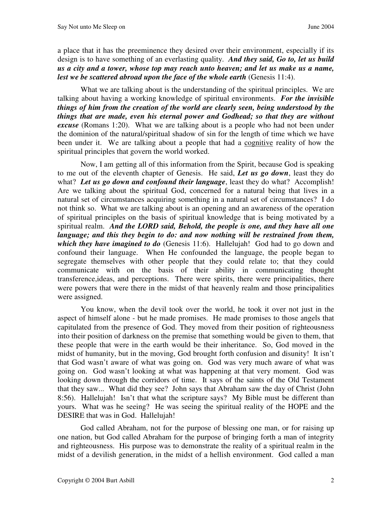a place that it has the preeminence they desired over their environment, especially if its design is to have something of an everlasting quality. *And they said, Go to, let us build us a city and a tower, whose top may reach unto heaven; and let us make us a name, lest we be scattered abroad upon the face of the whole earth* (Genesis 11:4).

What we are talking about is the understanding of the spiritual principles. We are talking about having a working knowledge of spiritual environments. *For the invisible things of him from the creation of the world are clearly seen, being understood by the things that are made, even his eternal power and Godhead; so that they are without excuse* (Romans 1:20). What we are talking about is a people who had not been under the dominion of the natural/spiritual shadow of sin for the length of time which we have been under it. We are talking about a people that had a cognitive reality of how the spiritual principles that govern the world worked.

Now, I am getting all of this information from the Spirit, because God is speaking to me out of the eleventh chapter of Genesis. He said, *Let us go down*, least they do what? Let us go down and confound their language, least they do what? Accomplish! Are we talking about the spiritual God, concerned for a natural being that lives in a natural set of circumstances acquiring something in a natural set of circumstances? I do not think so. What we are talking about is an opening and an awareness of the operation of spiritual principles on the basis of spiritual knowledge that is being motivated by a spiritual realm. *And the LORD said, Behold, the people is one, and they have all one language; and this they begin to do: and now nothing will be restrained from them, which they have imagined to do* (Genesis 11:6). Hallelujah! God had to go down and confound their language. When He confounded the language, the people began to segregate themselves with other people that they could relate to; that they could communicate with on the basis of their ability in communicating thought transference,ideas, and perceptions. There were spirits, there were principalities, there were powers that were there in the midst of that heavenly realm and those principalities were assigned.

You know, when the devil took over the world, he took it over not just in the aspect of himself alone - but he made promises. He made promises to those angels that capitulated from the presence of God. They moved from their position of righteousness into their position of darkness on the premise that something would be given to them, that these people that were in the earth would be their inheritance. So, God moved in the midst of humanity, but in the moving, God brought forth confusion and disunity! It isn't that God wasn't aware of what was going on. God was very much aware of what was going on. God wasn't looking at what was happening at that very moment. God was looking down through the corridors of time. It says of the saints of the Old Testament that they saw... What did they see? John says that Abraham saw the day of Christ (John 8:56). Hallelujah! Isn't that what the scripture says? My Bible must be different than yours. What was he seeing? He was seeing the spiritual reality of the HOPE and the DESIRE that was in God. Hallelujah!

God called Abraham, not for the purpose of blessing one man, or for raising up one nation, but God called Abraham for the purpose of bringing forth a man of integrity and righteousness. His purpose was to demonstrate the reality of a spiritual realm in the midst of a devilish generation, in the midst of a hellish environment. God called a man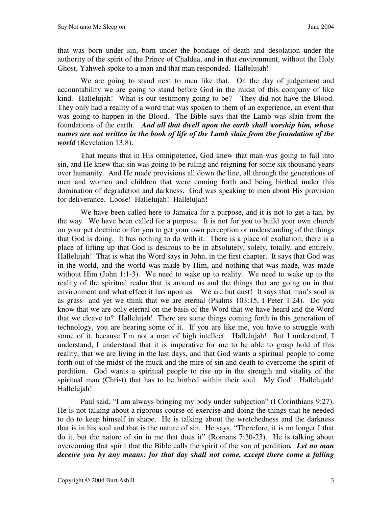that was born under sin, born under the bondage of death and desolation under the authority of the spirit of the Prince of Chaldea, and in that environment, without the Holy Ghost, Yahweh spoke to a man and that man responded. Hallelujah!

We are going to stand next to men like that. On the day of judgement and accountability we are going to stand before God in the midst of this company of like kind. Hallelujah! What is our testimony going to be? They did not have the Blood. They only had a reality of a word that was spoken to them of an experience, an event that was going to happen in the Blood. The Bible says that the Lamb was slain from the foundations of the earth. *And all that dwell upon the earth shall worship him, whose names are not written in the book of life of the Lamb slain from the foundation of the world* (Revelation 13:8).

That means that in His omnipotence, God knew that man was going to fall into sin, and He knew that sin was going to be ruling and reigning for some six thousand years over humanity. And He made provisions all down the line, all through the generations of men and women and children that were coming forth and being birthed under this domination of degradation and darkness. God was speaking to men about His provision for deliverance. Loose! Hallelujah! Hallelujah!

We have been called here to Jamaica for a purpose, and it is not to get a tan, by the way. We have been called for a purpose. It is not for you to build your own church on your pet doctrine or for you to get your own perception or understanding of the things that God is doing. It has nothing to do with it. There is a place of exaltation; there is a place of lifting up that God is desirous to be in absolutely, solely, totally, and entirely. Hallelujah! That is what the Word says in John, in the first chapter. It says that God was in the world, and the world was made by Him, and nothing that was made, was made without Him (John 1:1-3). We need to wake up to reality. We need to wake up to the reality of the spiritual realm that is around us and the things that are going on in that environment and what effect it has upon us. We are but dust! It says that man's soul is as grass and yet we think that we are eternal (Psalms 103:15, I Peter 1:24). Do you know that we are only eternal on the basis of the Word that we have heard and the Word that we cleave to? Hallelujah! There are some things coming forth in this generation of technology, you are hearing some of it. If you are like me, you have to struggle with some of it, because I'm not a man of high intellect. Hallelujah! But I understand, I understand, I understand that it is imperative for me to be able to grasp hold of this reality, that we are living in the last days, and that God wants a spiritual people to come forth out of the midst of the muck and the mire of sin and death to overcome the spirit of perdition. God wants a spiritual people to rise up in the strength and vitality of the spiritual man (Christ) that has to be birthed within their soul. My God! Hallelujah! Hallelujah!

Paul said, "I am always bringing my body under subjection" (I Corinthians 9:27). He is not talking about a rigorous course of exercise and doing the things that he needed to do to keep himself in shape. He is talking about the wretchedness and the darkness that is in his soul and that is the nature of sin. He says, "Therefore, it is no longer I that do it, but the nature of sin in me that does it" (Romans 7:20-23). He is talking about overcoming that spirit that the Bible calls the spirit of the son of perdition*. Let no man deceive you by any means: for that day shall not come, except there come a falling*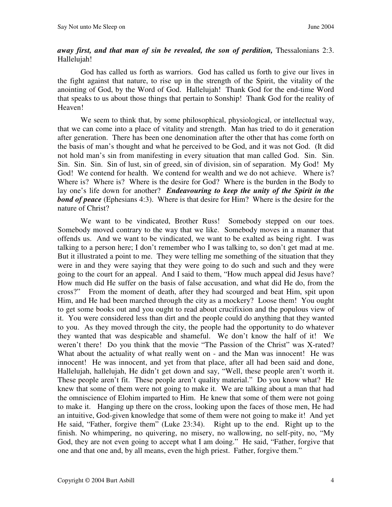## *away first, and that man of sin be revealed, the son of perdition,* Thessalonians 2:3. Hallelujah!

God has called us forth as warriors. God has called us forth to give our lives in the fight against that nature, to rise up in the strength of the Spirit, the vitality of the anointing of God, by the Word of God. Hallelujah! Thank God for the end-time Word that speaks to us about those things that pertain to Sonship! Thank God for the reality of Heaven!

We seem to think that, by some philosophical, physiological, or intellectual way, that we can come into a place of vitality and strength. Man has tried to do it generation after generation. There has been one denomination after the other that has come forth on the basis of man's thought and what he perceived to be God, and it was not God. (It did not hold man's sin from manifesting in every situation that man called God. Sin. Sin. Sin. Sin. Sin. Sin of lust, sin of greed, sin of division, sin of separation. My God! My God! We contend for health. We contend for wealth and we do not achieve. Where is? Where is? Where is? Where is the desire for God? Where is the burden in the Body to lay one's life down for another? *Endeavouring to keep the unity of the Spirit in the bond of peace* (Ephesians 4:3). Where is that desire for Him? Where is the desire for the nature of Christ?

We want to be vindicated, Brother Russ! Somebody stepped on our toes. Somebody moved contrary to the way that we like. Somebody moves in a manner that offends us. And we want to be vindicated, we want to be exalted as being right. I was talking to a person here; I don't remember who I was talking to, so don't get mad at me. But it illustrated a point to me. They were telling me something of the situation that they were in and they were saying that they were going to do such and such and they were going to the court for an appeal. And I said to them, "How much appeal did Jesus have? How much did He suffer on the basis of false accusation, and what did He do, from the cross?" From the moment of death, after they had scourged and beat Him, spit upon Him, and He had been marched through the city as a mockery? Loose them! You ought to get some books out and you ought to read about crucifixion and the populous view of it. You were considered less than dirt and the people could do anything that they wanted to you. As they moved through the city, the people had the opportunity to do whatever they wanted that was despicable and shameful. We don't know the half of it! We weren't there! Do you think that the movie "The Passion of the Christ" was X-rated? What about the actuality of what really went on - and the Man was innocent! He was innocent!He was innocent, and yet from that place, after all had been said and done, Hallelujah, hallelujah, He didn't get down and say, "Well, these people aren't worth it. These people aren't fit. These people aren't quality material." Do you know what? He knew that some of them were not going to make it. We are talking about a man that had the omniscience of Elohim imparted to Him. He knew that some of them were not going to make it. Hanging up there on the cross, looking upon the faces of those men, He had an intuitive, God-given knowledge that some of them were not going to make it! And yet He said, "Father, forgive them" (Luke 23:34). Right up to the end. Right up to the finish. No whimpering, no quivering, no misery, no wallowing, no self-pity, no, "My God, they are not even going to accept what I am doing." He said, "Father, forgive that one and that one and, by all means, even the high priest. Father, forgive them."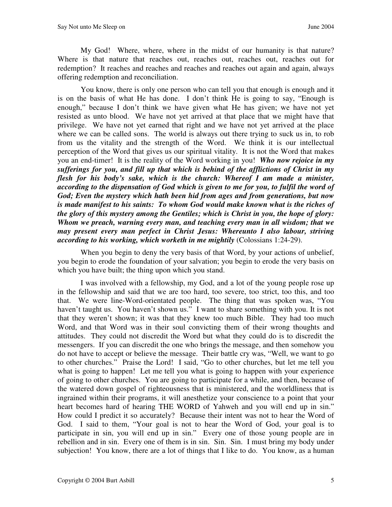My God! Where, where, where in the midst of our humanity is that nature? Where is that nature that reaches out, reaches out, reaches out, reaches out for redemption? It reaches and reaches and reaches and reaches out again and again, always offering redemption and reconciliation.

You know, there is only one person who can tell you that enough is enough and it is on the basis of what He has done. I don't think He is going to say, "Enough is enough," because I don't think we have given what He has given; we have not yet resisted as unto blood. We have not yet arrived at that place that we might have that privilege. We have not yet earned that right and we have not yet arrived at the place where we can be called sons. The world is always out there trying to suck us in, to rob from us the vitality and the strength of the Word. We think it is our intellectual perception of the Word that gives us our spiritual vitality. It is not the Word that makes you an end-timer! It is the reality of the Word working in you! *Who now rejoice in my sufferings for you, and fill up that which is behind of the afflictions of Christ in my flesh for his body's sake, which is the church: Whereof I am made a minister, according to the dispensation of God which is given to me for you, to fulfil the word of God; Even the mystery which hath been hid from ages and from generations, but now is made manifest to his saints: To whom God would make known what is the riches of the glory of this mystery among the Gentiles; which is Christ in you, the hope of glory: Whom we preach, warning every man, and teaching every man in all wisdom; that we may present every man perfect in Christ Jesus: Whereunto I also labour, striving according to his working, which worketh in me mightily* (Colossians 1:24-29).

When you begin to deny the very basis of that Word, by your actions of unbelief, you begin to erode the foundation of your salvation; you begin to erode the very basis on which you have built; the thing upon which you stand.

I was involved with a fellowship, my God, and a lot of the young people rose up in the fellowship and said that we are too hard, too severe, too strict, too this, and too that. We were line-Word-orientated people. The thing that was spoken was, "You haven't taught us. You haven't shown us." I want to share something with you. It is not that they weren't shown; it was that they knew too much Bible. They had too much Word, and that Word was in their soul convicting them of their wrong thoughts and attitudes. They could not discredit the Word but what they could do is to discredit the messengers. If you can discredit the one who brings the message, and then somehow you do not have to accept or believe the message. Their battle cry was, "Well, we want to go to other churches." Praise the Lord! I said, "Go to other churches, but let me tell you what is going to happen! Let me tell you what is going to happen with your experience of going to other churches. You are going to participate for a while, and then, because of the watered down gospel of righteousness that is ministered, and the worldliness that is ingrained within their programs, it will anesthetize your conscience to a point that your heart becomes hard of hearing THE WORD of Yahweh and you will end up in sin." How could I predict it so accurately? Because their intent was not to hear the Word of God. I said to them, "Your goal is not to hear the Word of God, your goal is to participate in sin, you will end up in sin." Every one of those young people are in rebellion and in sin. Every one of them is in sin. Sin. Sin. I must bring my body under subjection! You know, there are a lot of things that I like to do. You know, as a human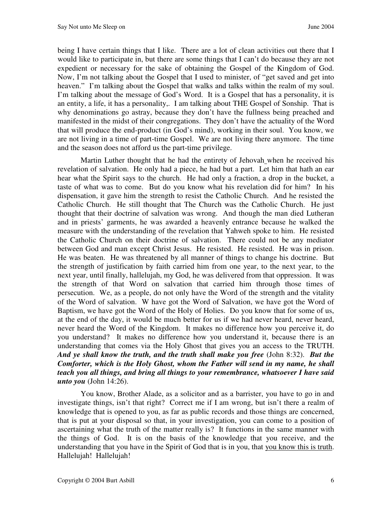being I have certain things that I like. There are a lot of clean activities out there that I would like to participate in, but there are some things that I can't do because they are not expedient or necessary for the sake of obtaining the Gospel of the Kingdom of God. Now, I'm not talking about the Gospel that I used to minister, of "get saved and get into heaven." I'm talking about the Gospel that walks and talks within the realm of my soul. I'm talking about the message of God's Word. It is a Gospel that has a personality, it is an entity, a life, it has a personality,. I am talking about THE Gospel of Sonship. That is why denominations go astray, because they don't have the fullness being preached and manifested in the midst of their congregations. They don't have the actuality of the Word that will produce the end-product (in God's mind), working in their soul. You know, we are not living in a time of part-time Gospel. We are not living there anymore. The time and the season does not afford us the part-time privilege.

Martin Luther thought that he had the entirety of Jehovah when he received his revelation of salvation. He only had a piece, he had but a part. Let him that hath an ear hear what the Spirit says to the church. He had only a fraction, a drop in the bucket, a taste of what was to come. But do you know what his revelation did for him? In his dispensation, it gave him the strength to resist the Catholic Church. And he resisted the Catholic Church. He still thought that The Church was the Catholic Church. He just thought that their doctrine of salvation was wrong. And though the man died Lutheran and in priests' garments, he was awarded a heavenly entrance because he walked the measure with the understanding of the revelation that Yahweh spoke to him. He resisted the Catholic Church on their doctrine of salvation. There could not be any mediator between God and man except Christ Jesus. He resisted. He resisted. He was in prison. He was beaten. He was threatened by all manner of things to change his doctrine. But the strength of justification by faith carried him from one year, to the next year, to the next year, until finally, hallelujah, my God, he was delivered from that oppression. It was the strength of that Word on salvation that carried him through those times of persecution. We, as a people, do not only have the Word of the strength and the vitality of the Word of salvation. W have got the Word of Salvation, we have got the Word of Baptism, we have got the Word of the Holy of Holies. Do you know that for some of us, at the end of the day, it would be much better for us if we had never heard, never heard, never heard the Word of the Kingdom. It makes no difference how you perceive it, do you understand? It makes no difference how you understand it, because there is an understanding that comes via the Holy Ghost that gives you an access to the TRUTH. *And ye shall know the truth, and the truth shall make you free* (John 8:32). *But the Comforter, which is the Holy Ghost, whom the Father will send in my name, he shall teach you all things, and bring all things to your remembrance, whatsoever I have said unto you* (John 14:26).

You know, Brother Alade, as a solicitor and as a barrister, you have to go in and investigate things, isn't that right? Correct me if I am wrong, but isn't there a realm of knowledge that is opened to you, as far as public records and those things are concerned, that is put at your disposal so that, in your investigation, you can come to a position of ascertaining what the truth of the matter really is? It functions in the same manner with the things of God. It is on the basis of the knowledge that you receive, and the understanding that you have in the Spirit of God that is in you, that you know this is truth. Hallelujah! Hallelujah!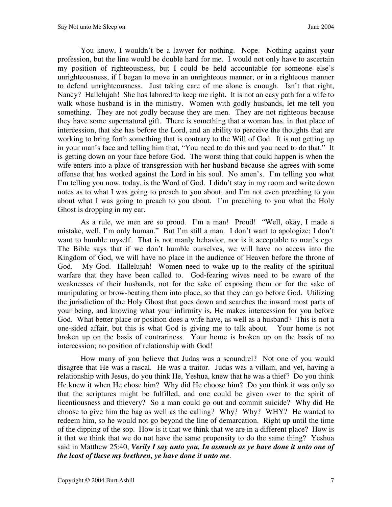You know, I wouldn't be a lawyer for nothing. Nope. Nothing against your profession, but the line would be double hard for me. I would not only have to ascertain my position of righteousness, but I could be held accountable for someone else's unrighteousness, if I began to move in an unrighteous manner, or in a righteous manner to defend unrighteousness. Just taking care of me alone is enough. Isn't that right, Nancy? Hallelujah! She has labored to keep me right. It is not an easy path for a wife to walk whose husband is in the ministry. Women with godly husbands, let me tell you something. They are not godly because they are men. They are not righteous because they have some supernatural gift. There is something that a woman has, in that place of intercession, that she has before the Lord, and an ability to perceive the thoughts that are working to bring forth something that is contrary to the Will of God. It is not getting up in your man's face and telling him that, "You need to do this and you need to do that." It is getting down on your face before God. The worst thing that could happen is when the wife enters into a place of transgression with her husband because she agrees with some offense that has worked against the Lord in his soul. No amen's. I'm telling you what I'm telling you now, today, is the Word of God. I didn't stay in my room and write down notes as to what I was going to preach to you about, and I'm not even preaching to you about what I was going to preach to you about. I'm preaching to you what the Holy Ghost is dropping in my ear.

As a rule, we men are so proud. I'm a man! Proud! "Well, okay, I made a mistake, well, I'm only human." But I'm still a man. I don't want to apologize; I don't want to humble myself. That is not manly behavior, nor is it acceptable to man's ego. The Bible says that if we don't humble ourselves, we will have no access into the Kingdom of God, we will have no place in the audience of Heaven before the throne of God. My God. Hallelujah! Women need to wake up to the reality of the spiritual warfare that they have been called to. God-fearing wives need to be aware of the weaknesses of their husbands, not for the sake of exposing them or for the sake of manipulating or brow-beating them into place, so that they can go before God. Utilizing the jurisdiction of the Holy Ghost that goes down and searches the inward most parts of your being, and knowing what your infirmity is, He makes intercession for you before God. What better place or position does a wife have, as well as a husband? This is not a one-sided affair, but this is what God is giving me to talk about. Your home is not broken up on the basis of contrariness. Your home is broken up on the basis of no intercession; no position of relationship with God!

How many of you believe that Judas was a scoundrel? Not one of you would disagree that He was a rascal. He was a traitor. Judas was a villain, and yet, having a relationship with Jesus, do you think He, Yeshua, knew that he was a thief? Do you think He knew it when He chose him? Why did He choose him? Do you think it was only so that the scriptures might be fulfilled, and one could be given over to the spirit of licentiousness and thievery? So a man could go out and commit suicide? Why did He choose to give him the bag as well as the calling? Why? Why? WHY? He wanted to redeem him, so he would not go beyond the line of demarcation. Right up until the time of the dipping of the sop. How is it that we think that we are in a different place? How is it that we think that we do not have the same propensity to do the same thing? Yeshua said in Matthew 25:40, *Verily I say unto you, In asmuch as ye have done it unto one of the least of these my brethren, ye have done it unto me.*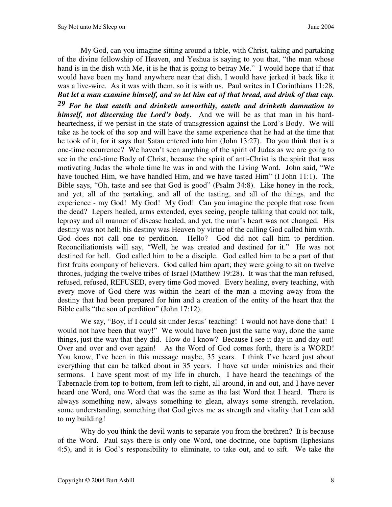My God, can you imagine sitting around a table, with Christ, taking and partaking of the divine fellowship of Heaven, and Yeshua is saying to you that, "the man whose hand is in the dish with Me, it is he that is going to betray Me." I would hope that if that would have been my hand anywhere near that dish, I would have jerked it back like it was a live-wire. As it was with them, so it is with us. Paul writes in I Corinthians 11:28, *But let a man examine himself, and so let him eat of that bread, and drink of that cup.* 

*29 For he that eateth and drinketh unworthily, eateth and drinketh damnation to himself, not discerning the Lord's body.* And we will be as that man in his hardheartedness, if we persist in the state of transgression against the Lord's Body. We will take as he took of the sop and will have the same experience that he had at the time that he took of it, for it says that Satan entered into him (John 13:27). Do you think that is a one-time occurrence? We haven't seen anything of the spirit of Judas as we are going to see in the end-time Body of Christ, because the spirit of anti-Christ is the spirit that was motivating Judas the whole time he was in and with the Living Word. John said, "We have touched Him, we have handled Him, and we have tasted Him" (I John 11:1). The Bible says, "Oh, taste and see that God is good" (Psalm 34:8). Like honey in the rock, and yet, all of the partaking, and all of the tasting, and all of the things, and the experience - my God! My God! My God! Can you imagine the people that rose from the dead? Lepers healed, arms extended, eyes seeing, people talking that could not talk, leprosy and all manner of disease healed, and yet, the man's heart was not changed. His destiny was not hell; his destiny was Heaven by virtue of the calling God called him with. God does not call one to perdition. Hello? God did not call him to perdition. Reconciliationists will say, "Well, he was created and destined for it." He was not destined for hell. God called him to be a disciple. God called him to be a part of that first fruits company of believers. God called him apart; they were going to sit on twelve thrones, judging the twelve tribes of Israel (Matthew 19:28). It was that the man refused, refused, refused, REFUSED, every time God moved. Every healing, every teaching, with every move of God there was within the heart of the man a moving away from the destiny that had been prepared for him and a creation of the entity of the heart that the Bible calls "the son of perdition" (John 17:12).

We say, "Boy, if I could sit under Jesus' teaching! I would not have done that! I would not have been that way!" We would have been just the same way, done the same things, just the way that they did. How do I know? Because I see it day in and day out! Over and over and over again! As the Word of God comes forth, there is a WORD! You know, I've been in this message maybe, 35 years. I think I've heard just about everything that can be talked about in 35 years. I have sat under ministries and their sermons. I have spent most of my life in church. I have heard the teachings of the Tabernacle from top to bottom, from left to right, all around, in and out, and I have never heard one Word, one Word that was the same as the last Word that I heard. There is always something new, always something to glean, always some strength, revelation, some understanding, something that God gives me as strength and vitality that I can add to my building!

Why do you think the devil wants to separate you from the brethren? It is because of the Word. Paul says there is only one Word, one doctrine, one baptism (Ephesians 4:5), and it is God's responsibility to eliminate, to take out, and to sift. We take the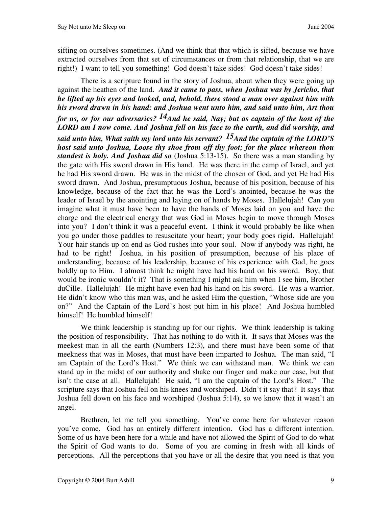sifting on ourselves sometimes. (And we think that that which is sifted, because we have extracted ourselves from that set of circumstances or from that relationship, that we are right!) I want to tell you something! God doesn't take sides! God doesn't take sides!

There is a scripture found in the story of Joshua, about when they were going up against the heathen of the land. *And it came to pass, when Joshua was by Jericho, that he lifted up his eyes and looked, and, behold, there stood a man over against him with his sword drawn in his hand: and Joshua went unto him, and said unto him, Art thou for us, or for our adversaries? 14And he said, Nay; but as captain of the host of the LORD am I now come. And Joshua fell on his face to the earth, and did worship, and said unto him, What saith my lord unto his servant? 15And the captain of the LORD'S host said unto Joshua, Loose thy shoe from off thy foot; for the place whereon thou standest is holy. And Joshua did so* (Joshua 5:13-15). So there was a man standing by the gate with His sword drawn in His hand. He was there in the camp of Israel, and yet he had His sword drawn. He was in the midst of the chosen of God, and yet He had His sword drawn. And Joshua, presumptuous Joshua, because of his position, because of his knowledge, because of the fact that he was the Lord's anointed, because he was the leader of Israel by the anointing and laying on of hands by Moses. Hallelujah! Can you imagine what it must have been to have the hands of Moses laid on you and have the charge and the electrical energy that was God in Moses begin to move through Moses into you? I don't think it was a peaceful event. I think it would probably be like when you go under those paddles to resuscitate your heart; your body goes rigid. Hallelujah! Your hair stands up on end as God rushes into your soul. Now if anybody was right, he had to be right! Joshua, in his position of presumption, because of his place of understanding, because of his leadership, because of his experience with God, he goes boldly up to Him. I almost think he might have had his hand on his sword. Boy, that would be ironic wouldn't it? That is something I might ask him when I see him, Brother duCille. Hallelujah! He might have even had his hand on his sword. He was a warrior. He didn't know who this man was, and he asked Him the question, "Whose side are you on?" And the Captain of the Lord's host put him in his place! And Joshua humbled himself! He humbled himself!

We think leadership is standing up for our rights. We think leadership is taking the position of responsibility. That has nothing to do with it. It says that Moses was the meekest man in all the earth (Numbers 12:3), and there must have been some of that meekness that was in Moses, that must have been imparted to Joshua. The man said, "I am Captain of the Lord's Host." We think we can withstand man. We think we can stand up in the midst of our authority and shake our finger and make our case, but that isn't the case at all. Hallelujah! He said, "I am the captain of the Lord's Host." The scripture says that Joshua fell on his knees and worshiped. Didn't it say that? It says that Joshua fell down on his face and worshiped (Joshua 5:14), so we know that it wasn't an angel.

Brethren, let me tell you something. You've come here for whatever reason you've come. God has an entirely different intention. God has a different intention. Some of us have been here for a while and have not allowed the Spirit of God to do what the Spirit of God wants to do. Some of you are coming in fresh with all kinds of perceptions. All the perceptions that you have or all the desire that you need is that you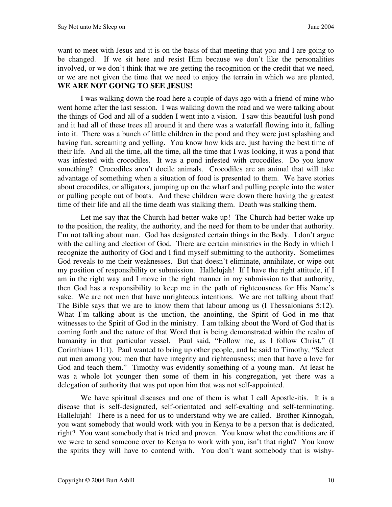want to meet with Jesus and it is on the basis of that meeting that you and I are going to be changed. If we sit here and resist Him because we don't like the personalities involved, or we don't think that we are getting the recognition or the credit that we need, or we are not given the time that we need to enjoy the terrain in which we are planted, **WE ARE NOT GOING TO SEE JESUS!** 

I was walking down the road here a couple of days ago with a friend of mine who went home after the last session. I was walking down the road and we were talking about the things of God and all of a sudden I went into a vision. I saw this beautiful lush pond and it had all of these trees all around it and there was a waterfall flowing into it, falling into it. There was a bunch of little children in the pond and they were just splashing and having fun, screaming and yelling. You know how kids are, just having the best time of their life. And all the time, all the time, all the time that I was looking, it was a pond that was infested with crocodiles. It was a pond infested with crocodiles. Do you know something? Crocodiles aren't docile animals. Crocodiles are an animal that will take advantage of something when a situation of food is presented to them. We have stories about crocodiles, or alligators, jumping up on the wharf and pulling people into the water or pulling people out of boats. And these children were down there having the greatest time of their life and all the time death was stalking them. Death was stalking them.

Let me say that the Church had better wake up! The Church had better wake up to the position, the reality, the authority, and the need for them to be under that authority. I'm not talking about man. God has designated certain things in the Body. I don't argue with the calling and election of God. There are certain ministries in the Body in which I recognize the authority of God and I find myself submitting to the authority. Sometimes God reveals to me their weaknesses. But that doesn't eliminate, annihilate, or wipe out my position of responsibility or submission. Hallelujah! If I have the right attitude, if I am in the right way and I move in the right manner in my submission to that authority, then God has a responsibility to keep me in the path of righteousness for His Name's sake. We are not men that have unrighteous intentions. We are not talking about that! The Bible says that we are to know them that labour among us (I Thessalonians 5:12). What I'm talking about is the unction, the anointing, the Spirit of God in me that witnesses to the Spirit of God in the ministry. I am talking about the Word of God that is coming forth and the nature of that Word that is being demonstrated within the realm of humanity in that particular vessel. Paul said, "Follow me, as I follow Christ." (I Corinthians 11:1). Paul wanted to bring up other people, and he said to Timothy, "Select out men among you; men that have integrity and righteousness; men that have a love for God and teach them." Timothy was evidently something of a young man. At least he was a whole lot younger then some of them in his congregation, yet there was a delegation of authority that was put upon him that was not self-appointed.

We have spiritual diseases and one of them is what I call Apostle-itis. It is a disease that is self-designated, self-orientated and self-exalting and self-terminating. Hallelujah! There is a need for us to understand why we are called. Brother Kinnogah, you want somebody that would work with you in Kenya to be a person that is dedicated, right? You want somebody that is tried and proven. You know what the conditions are if we were to send someone over to Kenya to work with you, isn't that right? You know the spirits they will have to contend with. You don't want somebody that is wishy-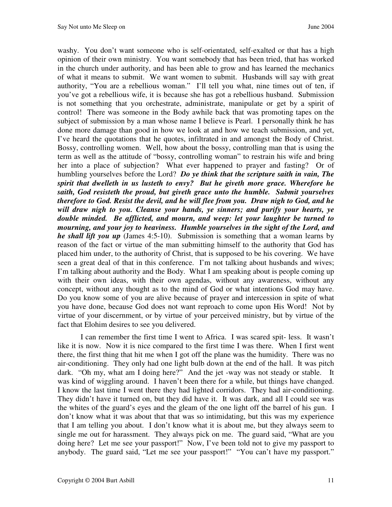washy. You don't want someone who is self-orientated, self-exalted or that has a high opinion of their own ministry. You want somebody that has been tried, that has worked in the church under authority, and has been able to grow and has learned the mechanics of what it means to submit. We want women to submit. Husbands will say with great authority, "You are a rebellious woman." I'll tell you what, nine times out of ten, if you've got a rebellious wife, it is because she has got a rebellious husband. Submission is not something that you orchestrate, administrate, manipulate or get by a spirit of control! There was someone in the Body awhile back that was promoting tapes on the subject of submission by a man whose name I believe is Pearl. I personally think he has done more damage than good in how we look at and how we teach submission, and yet, I've heard the quotations that he quotes, infiltrated in and amongst the Body of Christ. Bossy, controlling women. Well, how about the bossy, controlling man that is using the term as well as the attitude of "bossy, controlling woman" to restrain his wife and bring her into a place of subjection? What ever happened to prayer and fasting? Or of humbling yourselves before the Lord? *Do ye think that the scripture saith in vain, The spirit that dwelleth in us lusteth to envy? But he giveth more grace. Wherefore he saith, God resisteth the proud, but giveth grace unto the humble. Submit yourselves therefore to God. Resist the devil, and he will flee from you. Draw nigh to God, and he will draw nigh to you. Cleanse your hands, ye sinners; and purify your hearts, ye double minded. Be afflicted, and mourn, and weep: let your laughter be turned to mourning, and your joy to heaviness. Humble yourselves in the sight of the Lord, and he shall lift you up* (James 4:5-10). Submission is something that a woman learns by reason of the fact or virtue of the man submitting himself to the authority that God has placed him under, to the authority of Christ, that is supposed to be his covering. We have seen a great deal of that in this conference. I'm not talking about husbands and wives; I'm talking about authority and the Body. What I am speaking about is people coming up with their own ideas, with their own agendas, without any awareness, without any concept, without any thought as to the mind of God or what intentions God may have. Do you know some of you are alive because of prayer and intercession in spite of what you have done, because God does not want reproach to come upon His Word! Not by virtue of your discernment, or by virtue of your perceived ministry, but by virtue of the fact that Elohim desires to see you delivered.

I can remember the first time I went to Africa. I was scared spit- less. It wasn't like it is now. Now it is nice compared to the first time I was there. When I first went there, the first thing that hit me when I got off the plane was the humidity. There was no air-conditioning. They only had one light bulb down at the end of the hall. It was pitch dark. "Oh my, what am I doing here?" And the jet -way was not steady or stable. It was kind of wiggling around. I haven't been there for a while, but things have changed. I know the last time I went there they had lighted corridors. They had air-conditioning. They didn't have it turned on, but they did have it. It was dark, and all I could see was the whites of the guard's eyes and the gleam of the one light off the barrel of his gun. I don't know what it was about that that was so intimidating, but this was my experience that I am telling you about. I don't know what it is about me, but they always seem to single me out for harassment. They always pick on me. The guard said, "What are you doing here? Let me see your passport!" Now, I've been told not to give my passport to anybody. The guard said, "Let me see your passport!" "You can't have my passport."